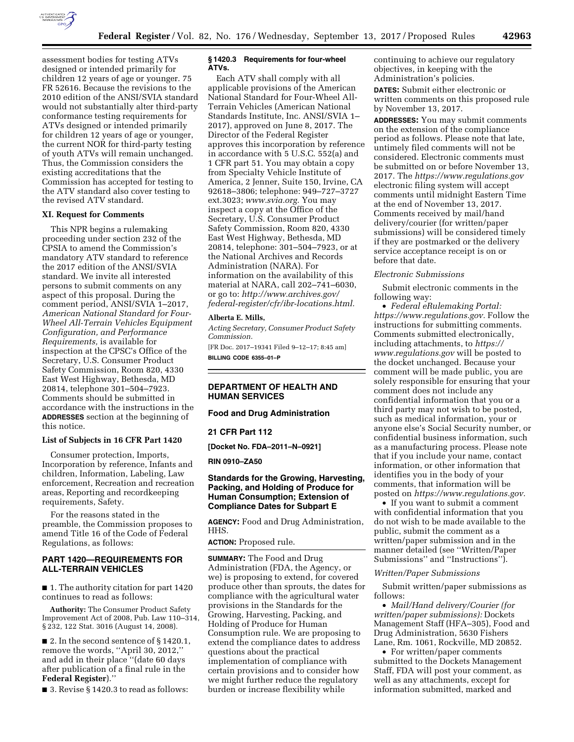

assessment bodies for testing ATVs designed or intended primarily for children 12 years of age or younger. 75 FR 52616. Because the revisions to the 2010 edition of the ANSI/SVIA standard would not substantially alter third-party conformance testing requirements for ATVs designed or intended primarily for children 12 years of age or younger, the current NOR for third-party testing of youth ATVs will remain unchanged. Thus, the Commission considers the existing accreditations that the Commission has accepted for testing to the ATV standard also cover testing to the revised ATV standard.

## **XI. Request for Comments**

This NPR begins a rulemaking proceeding under section 232 of the CPSIA to amend the Commission's mandatory ATV standard to reference the 2017 edition of the ANSI/SVIA standard. We invite all interested persons to submit comments on any aspect of this proposal. During the comment period, ANSI/SVIA 1–2017, *American National Standard for Four-Wheel All-Terrain Vehicles Equipment Configuration, and Performance Requirements,* is available for inspection at the CPSC's Office of the Secretary, U.S. Consumer Product Safety Commission, Room 820, 4330 East West Highway, Bethesda, MD 20814, telephone 301–504–7923. Comments should be submitted in accordance with the instructions in the **ADDRESSES** section at the beginning of this notice.

### **List of Subjects in 16 CFR Part 1420**

Consumer protection, Imports, Incorporation by reference, Infants and children, Information, Labeling, Law enforcement, Recreation and recreation areas, Reporting and recordkeeping requirements, Safety.

For the reasons stated in the preamble, the Commission proposes to amend Title 16 of the Code of Federal Regulations, as follows:

### **PART 1420—REQUIREMENTS FOR ALL-TERRAIN VEHICLES**

■ 1. The authority citation for part 1420 continues to read as follows:

**Authority:** The Consumer Product Safety Improvement Act of 2008, Pub. Law 110–314, § 232, 122 Stat. 3016 (August 14, 2008).

■ 2. In the second sentence of § 1420.1, remove the words, ''April 30, 2012,'' and add in their place ''(date 60 days after publication of a final rule in the **Federal Register**).''

■ 3. Revise § 1420.3 to read as follows:

# **§ 1420.3 Requirements for four-wheel ATVs.**

Each ATV shall comply with all applicable provisions of the American National Standard for Four-Wheel All-Terrain Vehicles (American National Standards Institute, Inc. ANSI/SVIA 1– 2017), approved on June 8, 2017. The Director of the Federal Register approves this incorporation by reference in accordance with 5 U.S.C. 552(a) and 1 CFR part 51. You may obtain a copy from Specialty Vehicle Institute of America, 2 Jenner, Suite 150, Irvine, CA 92618–3806; telephone: 949–727–3727 ext.3023; *[www.svia.org.](http://www.svia.org)* You may inspect a copy at the Office of the Secretary, U.S. Consumer Product Safety Commission, Room 820, 4330 East West Highway, Bethesda, MD 20814, telephone: 301–504–7923, or at the National Archives and Records Administration (NARA). For information on the availability of this material at NARA, call 202–741–6030, or go to: *[http://www.archives.gov/](http://www.archives.gov/federal-register/cfr/ibr-locations.html) [federal-register/cfr/ibr-locations.html.](http://www.archives.gov/federal-register/cfr/ibr-locations.html)* 

#### **Alberta E. Mills,**

*Acting Secretary, Consumer Product Safety Commission.*  [FR Doc. 2017–19341 Filed 9–12–17; 8:45 am]

**BILLING CODE 6355–01–P** 

# **DEPARTMENT OF HEALTH AND HUMAN SERVICES**

### **Food and Drug Administration**

### **21 CFR Part 112**

**[Docket No. FDA–2011–N–0921]** 

## **RIN 0910–ZA50**

## **Standards for the Growing, Harvesting, Packing, and Holding of Produce for Human Consumption; Extension of Compliance Dates for Subpart E**

**AGENCY:** Food and Drug Administration, HHS.

**ACTION:** Proposed rule.

**SUMMARY:** The Food and Drug Administration (FDA, the Agency, or we) is proposing to extend, for covered produce other than sprouts, the dates for compliance with the agricultural water provisions in the Standards for the Growing, Harvesting, Packing, and Holding of Produce for Human Consumption rule. We are proposing to extend the compliance dates to address questions about the practical implementation of compliance with certain provisions and to consider how we might further reduce the regulatory burden or increase flexibility while

continuing to achieve our regulatory objectives, in keeping with the Administration's policies.

**DATES:** Submit either electronic or written comments on this proposed rule by November 13, 2017.

**ADDRESSES:** You may submit comments on the extension of the compliance period as follows. Please note that late, untimely filed comments will not be considered. Electronic comments must be submitted on or before November 13, 2017. The *<https://www.regulations.gov>* electronic filing system will accept comments until midnight Eastern Time at the end of November 13, 2017. Comments received by mail/hand delivery/courier (for written/paper submissions) will be considered timely if they are postmarked or the delivery service acceptance receipt is on or before that date.

#### *Electronic Submissions*

Submit electronic comments in the following way:

• *Federal eRulemaking Portal: [https://www.regulations.gov.](https://www.regulations.gov)* Follow the instructions for submitting comments. Comments submitted electronically, including attachments, to *[https://](https://www.regulations.gov) [www.regulations.gov](https://www.regulations.gov)* will be posted to the docket unchanged. Because your comment will be made public, you are solely responsible for ensuring that your comment does not include any confidential information that you or a third party may not wish to be posted, such as medical information, your or anyone else's Social Security number, or confidential business information, such as a manufacturing process. Please note that if you include your name, contact information, or other information that identifies you in the body of your comments, that information will be posted on *[https://www.regulations.gov.](https://www.regulations.gov)* 

• If you want to submit a comment with confidential information that you do not wish to be made available to the public, submit the comment as a written/paper submission and in the manner detailed (see ''Written/Paper Submissions'' and ''Instructions'').

#### *Written/Paper Submissions*

Submit written/paper submissions as follows:

• *Mail/Hand delivery/Courier (for written/paper submissions):* Dockets Management Staff (HFA–305), Food and Drug Administration, 5630 Fishers Lane, Rm. 1061, Rockville, MD 20852.

• For written/paper comments submitted to the Dockets Management Staff, FDA will post your comment, as well as any attachments, except for information submitted, marked and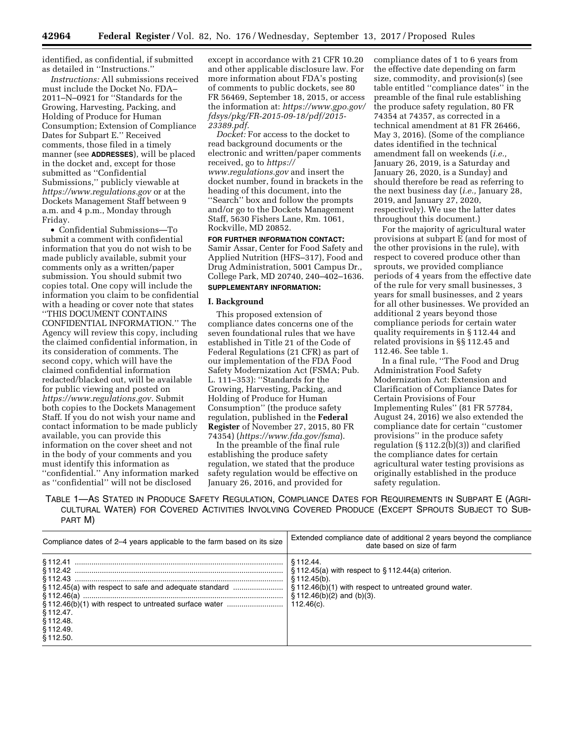identified, as confidential, if submitted as detailed in ''Instructions.''

*Instructions:* All submissions received must include the Docket No. FDA– 2011–N–0921 for ''Standards for the Growing, Harvesting, Packing, and Holding of Produce for Human Consumption; Extension of Compliance Dates for Subpart E.'' Received comments, those filed in a timely manner (see **ADDRESSES**), will be placed in the docket and, except for those submitted as ''Confidential Submissions,'' publicly viewable at *<https://www.regulations.gov>* or at the Dockets Management Staff between 9 a.m. and 4 p.m., Monday through Friday.

• Confidential Submissions—To submit a comment with confidential information that you do not wish to be made publicly available, submit your comments only as a written/paper submission. You should submit two copies total. One copy will include the information you claim to be confidential with a heading or cover note that states ''THIS DOCUMENT CONTAINS CONFIDENTIAL INFORMATION.'' The Agency will review this copy, including the claimed confidential information, in its consideration of comments. The second copy, which will have the claimed confidential information redacted/blacked out, will be available for public viewing and posted on *[https://www.regulations.gov.](https://www.regulations.gov)* Submit both copies to the Dockets Management Staff. If you do not wish your name and contact information to be made publicly available, you can provide this information on the cover sheet and not in the body of your comments and you must identify this information as ''confidential.'' Any information marked as ''confidential'' will not be disclosed

except in accordance with 21 CFR 10.20 and other applicable disclosure law. For more information about FDA's posting of comments to public dockets, see 80 FR 56469, September 18, 2015, or access the information at: *[https://www.gpo.gov/](https://www.gpo.gov/fdsys/pkg/FR-2015-09-18/pdf/2015-23389.pdf) [fdsys/pkg/FR-2015-09-18/pdf/2015-](https://www.gpo.gov/fdsys/pkg/FR-2015-09-18/pdf/2015-23389.pdf)  [23389.pdf.](https://www.gpo.gov/fdsys/pkg/FR-2015-09-18/pdf/2015-23389.pdf)* 

*Docket:* For access to the docket to read background documents or the electronic and written/paper comments received, go to *[https://](https://www.regulations.gov) [www.regulations.gov](https://www.regulations.gov)* and insert the docket number, found in brackets in the heading of this document, into the ''Search'' box and follow the prompts and/or go to the Dockets Management Staff, 5630 Fishers Lane, Rm. 1061, Rockville, MD 20852.

**FOR FURTHER INFORMATION CONTACT:**  Samir Assar, Center for Food Safety and Applied Nutrition (HFS–317), Food and Drug Administration, 5001 Campus Dr., College Park, MD 20740, 240–402–1636. **SUPPLEMENTARY INFORMATION:** 

#### **I. Background**

This proposed extension of compliance dates concerns one of the seven foundational rules that we have established in Title 21 of the Code of Federal Regulations (21 CFR) as part of our implementation of the FDA Food Safety Modernization Act (FSMA; Pub. L. 111–353): ''Standards for the Growing, Harvesting, Packing, and Holding of Produce for Human Consumption'' (the produce safety regulation, published in the **Federal Register** of November 27, 2015, 80 FR 74354) (*<https://www.fda.gov/fsma>*).

In the preamble of the final rule establishing the produce safety regulation, we stated that the produce safety regulation would be effective on January 26, 2016, and provided for

compliance dates of 1 to 6 years from the effective date depending on farm size, commodity, and provision(s) (see table entitled ''compliance dates'' in the preamble of the final rule establishing the produce safety regulation, 80 FR 74354 at 74357, as corrected in a technical amendment at 81 FR 26466, May 3, 2016). (Some of the compliance dates identified in the technical amendment fall on weekends (*i.e.,*  January 26, 2019, is a Saturday and January 26, 2020, is a Sunday) and should therefore be read as referring to the next business day (*i.e.,* January 28, 2019, and January 27, 2020, respectively). We use the latter dates throughout this document.)

For the majority of agricultural water provisions at subpart E (and for most of the other provisions in the rule), with respect to covered produce other than sprouts, we provided compliance periods of 4 years from the effective date of the rule for very small businesses, 3 years for small businesses, and 2 years for all other businesses. We provided an additional 2 years beyond those compliance periods for certain water quality requirements in § 112.44 and related provisions in §§ 112.45 and 112.46. See table 1.

In a final rule, ''The Food and Drug Administration Food Safety Modernization Act: Extension and Clarification of Compliance Dates for Certain Provisions of Four Implementing Rules'' (81 FR 57784, August 24, 2016) we also extended the compliance date for certain ''customer provisions'' in the produce safety regulation (§ 112.2(b)(3)) and clarified the compliance dates for certain agricultural water testing provisions as originally established in the produce safety regulation.

TABLE 1—AS STATED IN PRODUCE SAFETY REGULATION, COMPLIANCE DATES FOR REQUIREMENTS IN SUBPART E (AGRI-CULTURAL WATER) FOR COVERED ACTIVITIES INVOLVING COVERED PRODUCE (EXCEPT SPROUTS SUBJECT TO SUB-PART M)

| Compliance dates of 2-4 years applicable to the farm based on its size                                                                                                 | Extended compliance date of additional 2 years beyond the compliance<br>date based on size of farm                                                                                              |
|------------------------------------------------------------------------------------------------------------------------------------------------------------------------|-------------------------------------------------------------------------------------------------------------------------------------------------------------------------------------------------|
| §112.45(a) with respect to safe and adequate standard<br>§112.46(b)(1) with respect to untreated surface water<br>$$112.47$ .<br>$$112.48$ .<br>\$112.49.<br>\$112.50. | \$112.44.<br>$\S$ 112.45(a) with respect to $\S$ 112.44(a) criterion.<br>\$112.45(b).<br>§ 112.46(b)(1) with respect to untreated ground water.<br>$$112.46(b)(2)$ and (b)(3).<br>$112.46(c)$ . |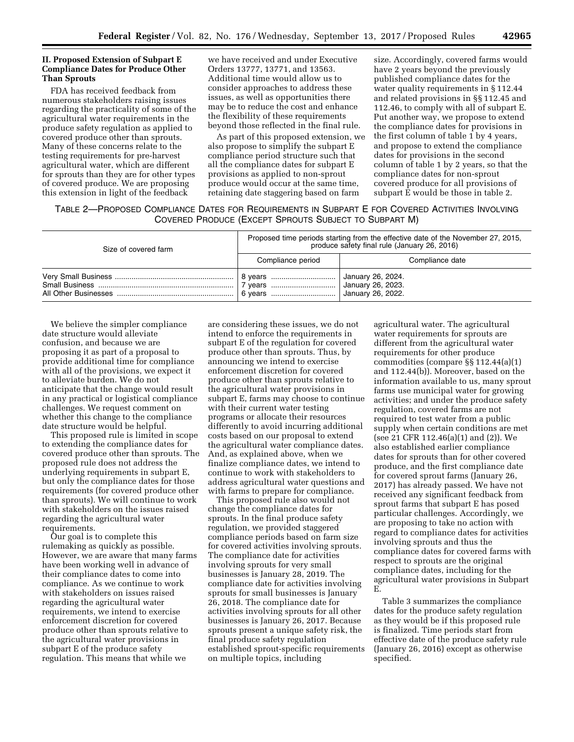# **II. Proposed Extension of Subpart E Compliance Dates for Produce Other Than Sprouts**

FDA has received feedback from numerous stakeholders raising issues regarding the practicality of some of the agricultural water requirements in the produce safety regulation as applied to covered produce other than sprouts. Many of these concerns relate to the testing requirements for pre-harvest agricultural water, which are different for sprouts than they are for other types of covered produce. We are proposing this extension in light of the feedback

we have received and under Executive Orders 13777, 13771, and 13563. Additional time would allow us to consider approaches to address these issues, as well as opportunities there may be to reduce the cost and enhance the flexibility of these requirements beyond those reflected in the final rule.

As part of this proposed extension, we also propose to simplify the subpart E compliance period structure such that all the compliance dates for subpart E provisions as applied to non-sprout produce would occur at the same time, retaining date staggering based on farm

size. Accordingly, covered farms would have 2 years beyond the previously published compliance dates for the water quality requirements in § 112.44 and related provisions in §§ 112.45 and 112.46, to comply with all of subpart E. Put another way, we propose to extend the compliance dates for provisions in the first column of table 1 by 4 years, and propose to extend the compliance dates for provisions in the second column of table 1 by 2 years, so that the compliance dates for non-sprout covered produce for all provisions of subpart E would be those in table 2.

TABLE 2—PROPOSED COMPLIANCE DATES FOR REQUIREMENTS IN SUBPART E FOR COVERED ACTIVITIES INVOLVING COVERED PRODUCE (EXCEPT SPROUTS SUBJECT TO SUBPART M)

| Size of covered farm | Proposed time periods starting from the effective date of the November 27, 2015,<br>produce safety final rule (January 26, 2016) |                                        |  |  |  |
|----------------------|----------------------------------------------------------------------------------------------------------------------------------|----------------------------------------|--|--|--|
|                      | Compliance period                                                                                                                | Compliance date                        |  |  |  |
|                      |                                                                                                                                  | January 26, 2024.<br>January 26, 2023. |  |  |  |

We believe the simpler compliance date structure would alleviate confusion, and because we are proposing it as part of a proposal to provide additional time for compliance with all of the provisions, we expect it to alleviate burden. We do not anticipate that the change would result in any practical or logistical compliance challenges. We request comment on whether this change to the compliance date structure would be helpful.

This proposed rule is limited in scope to extending the compliance dates for covered produce other than sprouts. The proposed rule does not address the underlying requirements in subpart E, but only the compliance dates for those requirements (for covered produce other than sprouts). We will continue to work with stakeholders on the issues raised regarding the agricultural water requirements.

Our goal is to complete this rulemaking as quickly as possible. However, we are aware that many farms have been working well in advance of their compliance dates to come into compliance. As we continue to work with stakeholders on issues raised regarding the agricultural water requirements, we intend to exercise enforcement discretion for covered produce other than sprouts relative to the agricultural water provisions in subpart E of the produce safety regulation. This means that while we

are considering these issues, we do not intend to enforce the requirements in subpart E of the regulation for covered produce other than sprouts. Thus, by announcing we intend to exercise enforcement discretion for covered produce other than sprouts relative to the agricultural water provisions in subpart E, farms may choose to continue with their current water testing programs or allocate their resources differently to avoid incurring additional costs based on our proposal to extend the agricultural water compliance dates. And, as explained above, when we finalize compliance dates, we intend to continue to work with stakeholders to address agricultural water questions and with farms to prepare for compliance.

This proposed rule also would not change the compliance dates for sprouts. In the final produce safety regulation, we provided staggered compliance periods based on farm size for covered activities involving sprouts. The compliance date for activities involving sprouts for very small businesses is January 28, 2019. The compliance date for activities involving sprouts for small businesses is January 26, 2018. The compliance date for activities involving sprouts for all other businesses is January 26, 2017. Because sprouts present a unique safety risk, the final produce safety regulation established sprout-specific requirements on multiple topics, including

agricultural water. The agricultural water requirements for sprouts are different from the agricultural water requirements for other produce commodities (compare §§ 112.44(a)(1) and 112.44(b)). Moreover, based on the information available to us, many sprout farms use municipal water for growing activities; and under the produce safety regulation, covered farms are not required to test water from a public supply when certain conditions are met (see 21 CFR 112.46(a)(1) and (2)). We also established earlier compliance dates for sprouts than for other covered produce, and the first compliance date for covered sprout farms (January 26, 2017) has already passed. We have not received any significant feedback from sprout farms that subpart E has posed particular challenges. Accordingly, we are proposing to take no action with regard to compliance dates for activities involving sprouts and thus the compliance dates for covered farms with respect to sprouts are the original compliance dates, including for the agricultural water provisions in Subpart E.

Table 3 summarizes the compliance dates for the produce safety regulation as they would be if this proposed rule is finalized. Time periods start from effective date of the produce safety rule (January 26, 2016) except as otherwise specified.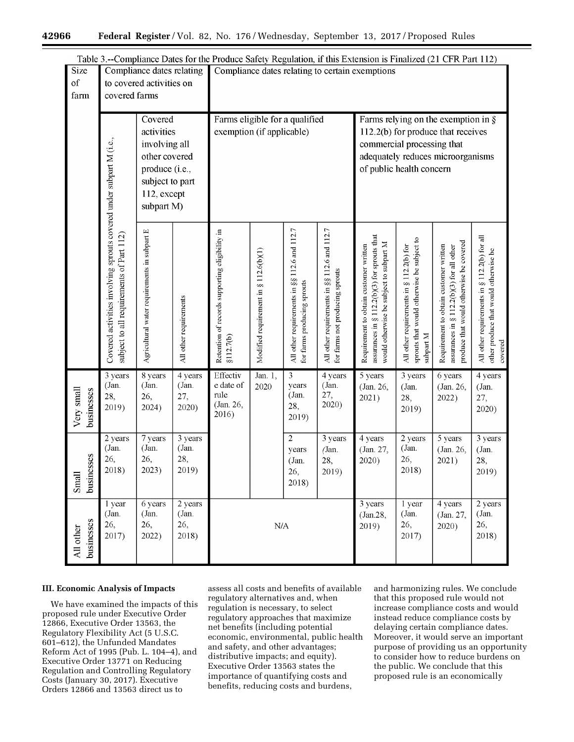|                          | Table 3.--Compliance Dates for the Produce Safety Regulation, if this Extension is Finalized (21 CFR Part 112)  |                                                                                                                           |                                                 |                                                              |                                       |                                                                             |                                                                                                                                                                             |                                                                                                                                   |                                                                                                     |                                                                                                                                |                                                                                                  |
|--------------------------|-----------------------------------------------------------------------------------------------------------------|---------------------------------------------------------------------------------------------------------------------------|-------------------------------------------------|--------------------------------------------------------------|---------------------------------------|-----------------------------------------------------------------------------|-----------------------------------------------------------------------------------------------------------------------------------------------------------------------------|-----------------------------------------------------------------------------------------------------------------------------------|-----------------------------------------------------------------------------------------------------|--------------------------------------------------------------------------------------------------------------------------------|--------------------------------------------------------------------------------------------------|
| <b>Size</b><br>of        | Compliance dates relating<br>to covered activities on                                                           |                                                                                                                           | Compliance dates relating to certain exemptions |                                                              |                                       |                                                                             |                                                                                                                                                                             |                                                                                                                                   |                                                                                                     |                                                                                                                                |                                                                                                  |
| farm                     | covered farms                                                                                                   |                                                                                                                           |                                                 |                                                              |                                       |                                                                             |                                                                                                                                                                             |                                                                                                                                   |                                                                                                     |                                                                                                                                |                                                                                                  |
|                          |                                                                                                                 | Covered<br>activities<br>involving all<br>other covered<br>produce (i.e.,<br>subject to part<br>112, except<br>subpart M) |                                                 | Farms eligible for a qualified<br>exemption (if applicable)  |                                       |                                                                             | Farms relying on the exemption in $\S$<br>112.2(b) for produce that receives<br>commercial processing that<br>adequately reduces microorganisms<br>of public health concern |                                                                                                                                   |                                                                                                     |                                                                                                                                |                                                                                                  |
|                          | Covered activities involving sprouts covered under subpart M (i.e.,<br>subject to all requirements of Part 112) | Agricultural water requirements in subpart E                                                                              | All other requirements                          | Retention of records supporting eligibility in<br>\$112.7(b) | Modified requirement in § 112.6(b)(1) | All other requirements in §§ 112.6 and 112.7<br>for farms producing sprouts | All other requirements in §§ 112.6 and 112.7<br>for farms not producing sprouts                                                                                             | assurances in § 112.2(b)(3) for sprouts that<br>would otherwise be subject to subpart M<br>Requirement to obtain customer written | sprouts that would otherwise be subject to<br>All other requirements in § 112.2(b) for<br>subpart M | produce that would otherwise be covered<br>Requirement to obtain customer written<br>assurances in § 112.2(b)(3) for all other | All other requirements in § 112.2(b) for all<br>other produce that would otherwise be<br>covered |
| Very small<br>businesses | 3 years<br>(Jan.<br>28,<br>2019)                                                                                | 8 years<br>(Jan.<br>26,<br>2024)                                                                                          | 4 years<br>(Jan.<br>27,<br>2020)                | Effectiv<br>e date of<br>rule<br>(Jan. 26,<br>2016)          | Jan. 1,<br>2020                       | $\overline{\mathbf{3}}$<br>years<br>(Jan.<br>28,<br>2019)                   | 4 years<br>(Jan.<br>27,<br>2020)                                                                                                                                            | 5 years<br>(Jan. 26,<br>2021)                                                                                                     | 3 years<br>(Jan.<br>28,<br>2019)                                                                    | 6 years<br>(Jan. 26,<br>2022)                                                                                                  | 4 years<br>(Jan.<br>27,<br>2020)                                                                 |
| Small<br>businesses      | 2 years<br>(Jan.<br>26,<br>2018)                                                                                | 7 years<br>(Jan.<br>26,<br>2023)                                                                                          | 3 years<br>(Jan.<br>28,<br>2019)                |                                                              |                                       | $\overline{2}$<br>years<br>(Jan.<br>26,<br>2018)                            | 3 years<br>(Jan.<br>28,<br>2019)                                                                                                                                            | 4 years<br>(Jan. 27,<br>2020)                                                                                                     | 2 years<br>(Jan.<br>26,<br>2018)                                                                    | 5 years<br>(Jan. 26,<br>2021)                                                                                                  | 3 years<br>(Jan.<br>28,<br>2019)                                                                 |
| businesses<br>All other  | $\overline{1}$ year<br>(Jan.<br>26,<br>2017)                                                                    | 6 years<br>(Jan.<br>26,<br>2022)                                                                                          | 2 years<br>(Jan.<br>26,<br>2018)                | $\rm N\mskip-1mu\rm\slash\mskip-1mu A$                       |                                       |                                                                             | 3 years<br>(Jan.28,<br>2019)                                                                                                                                                | $\overline{1}$ year<br>(Jan.<br>26,<br>2017)                                                                                      | 4 years<br>(Jan. 27,<br>2020)                                                                       | 2 years<br>(Jan.<br>26,<br>2018)                                                                                               |                                                                                                  |

# **III. Economic Analysis of Impacts**

We have examined the impacts of this proposed rule under Executive Order 12866, Executive Order 13563, the Regulatory Flexibility Act (5 U.S.C. 601–612), the Unfunded Mandates Reform Act of 1995 (Pub. L. 104–4), and Executive Order 13771 on Reducing Regulation and Controlling Regulatory Costs (January 30, 2017). Executive Orders 12866 and 13563 direct us to

assess all costs and benefits of available regulatory alternatives and, when regulation is necessary, to select regulatory approaches that maximize net benefits (including potential economic, environmental, public health and safety, and other advantages; distributive impacts; and equity). Executive Order 13563 states the importance of quantifying costs and benefits, reducing costs and burdens,

and harmonizing rules. We conclude that this proposed rule would not increase compliance costs and would instead reduce compliance costs by delaying certain compliance dates. Moreover, it would serve an important purpose of providing us an opportunity to consider how to reduce burdens on the public. We conclude that this proposed rule is an economically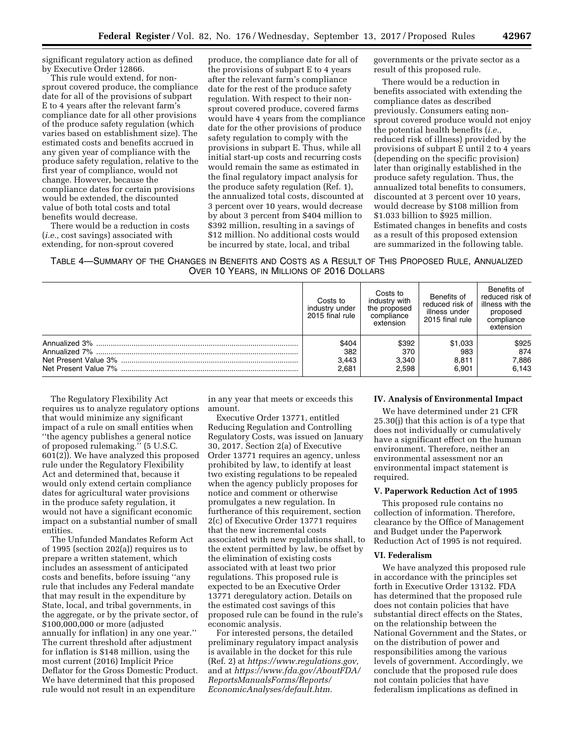significant regulatory action as defined by Executive Order 12866.

This rule would extend, for nonsprout covered produce, the compliance date for all of the provisions of subpart E to 4 years after the relevant farm's compliance date for all other provisions of the produce safety regulation (which varies based on establishment size). The estimated costs and benefits accrued in any given year of compliance with the produce safety regulation, relative to the first year of compliance, would not change. However, because the compliance dates for certain provisions would be extended, the discounted value of both total costs and total benefits would decrease.

There would be a reduction in costs (*i.e.,* cost savings) associated with extending, for non-sprout covered

produce, the compliance date for all of the provisions of subpart E to 4 years after the relevant farm's compliance date for the rest of the produce safety regulation. With respect to their nonsprout covered produce, covered farms would have 4 years from the compliance date for the other provisions of produce safety regulation to comply with the provisions in subpart E. Thus, while all initial start-up costs and recurring costs would remain the same as estimated in the final regulatory impact analysis for the produce safety regulation (Ref. 1), the annualized total costs, discounted at 3 percent over 10 years, would decrease by about 3 percent from \$404 million to \$392 million, resulting in a savings of \$12 million. No additional costs would be incurred by state, local, and tribal

governments or the private sector as a result of this proposed rule.

There would be a reduction in benefits associated with extending the compliance dates as described previously. Consumers eating nonsprout covered produce would not enjoy the potential health benefits (*i.e.,*  reduced risk of illness) provided by the provisions of subpart E until 2 to 4 years (depending on the specific provision) later than originally established in the produce safety regulation. Thus, the annualized total benefits to consumers, discounted at 3 percent over 10 years, would decrease by \$108 million from \$1.033 billion to \$925 million. Estimated changes in benefits and costs as a result of this proposed extension are summarized in the following table.

TABLE 4—SUMMARY OF THE CHANGES IN BENEFITS AND COSTS AS A RESULT OF THIS PROPOSED RULE, ANNUALIZED OVER 10 YEARS, IN MILLIONS OF 2016 DOLLARS

| Costs to<br>industry under<br>2015 final rule | Costs to<br>industry with<br>the proposed<br>compliance<br>extension | Benefits of<br>reduced risk of<br>illness under<br>2015 final rule | Benefits of<br>reduced risk of<br>illness with the<br>proposed<br>compliance<br>extension |
|-----------------------------------------------|----------------------------------------------------------------------|--------------------------------------------------------------------|-------------------------------------------------------------------------------------------|
| \$404                                         | \$392                                                                | \$1,033                                                            | \$925                                                                                     |
| 382                                           | 370                                                                  | 983                                                                | 874                                                                                       |
| 3.443                                         | 3,340                                                                | 8.811                                                              | 7,886                                                                                     |
| 2.681                                         | 2.598                                                                | 6.901                                                              | 6.143                                                                                     |

The Regulatory Flexibility Act requires us to analyze regulatory options that would minimize any significant impact of a rule on small entities when ''the agency publishes a general notice of proposed rulemaking.'' (5 U.S.C. 601(2)). We have analyzed this proposed rule under the Regulatory Flexibility Act and determined that, because it would only extend certain compliance dates for agricultural water provisions in the produce safety regulation, it would not have a significant economic impact on a substantial number of small entities.

The Unfunded Mandates Reform Act of 1995 (section 202(a)) requires us to prepare a written statement, which includes an assessment of anticipated costs and benefits, before issuing ''any rule that includes any Federal mandate that may result in the expenditure by State, local, and tribal governments, in the aggregate, or by the private sector, of \$100,000,000 or more (adjusted annually for inflation) in any one year.'' The current threshold after adjustment for inflation is \$148 million, using the most current (2016) Implicit Price Deflator for the Gross Domestic Product. We have determined that this proposed rule would not result in an expenditure

in any year that meets or exceeds this amount.

Executive Order 13771, entitled Reducing Regulation and Controlling Regulatory Costs, was issued on January 30, 2017. Section 2(a) of Executive Order 13771 requires an agency, unless prohibited by law, to identify at least two existing regulations to be repealed when the agency publicly proposes for notice and comment or otherwise promulgates a new regulation. In furtherance of this requirement, section 2(c) of Executive Order 13771 requires that the new incremental costs associated with new regulations shall, to the extent permitted by law, be offset by the elimination of existing costs associated with at least two prior regulations. This proposed rule is expected to be an Executive Order 13771 deregulatory action. Details on the estimated cost savings of this proposed rule can be found in the rule's economic analysis.

For interested persons, the detailed preliminary regulatory impact analysis is available in the docket for this rule (Ref. 2) at *[https://www.regulations.gov,](https://www.regulations.gov)*  and at *[https://www.fda.gov/AboutFDA/](https://www.fda.gov/AboutFDA/ReportsManualsForms/Reports/EconomicAnalyses/default.htm)  [ReportsManualsForms/Reports/](https://www.fda.gov/AboutFDA/ReportsManualsForms/Reports/EconomicAnalyses/default.htm)  [EconomicAnalyses/default.htm.](https://www.fda.gov/AboutFDA/ReportsManualsForms/Reports/EconomicAnalyses/default.htm)* 

# **IV. Analysis of Environmental Impact**

We have determined under 21 CFR 25.30(j) that this action is of a type that does not individually or cumulatively have a significant effect on the human environment. Therefore, neither an environmental assessment nor an environmental impact statement is required.

### **V. Paperwork Reduction Act of 1995**

This proposed rule contains no collection of information. Therefore, clearance by the Office of Management and Budget under the Paperwork Reduction Act of 1995 is not required.

### **VI. Federalism**

We have analyzed this proposed rule in accordance with the principles set forth in Executive Order 13132. FDA has determined that the proposed rule does not contain policies that have substantial direct effects on the States, on the relationship between the National Government and the States, or on the distribution of power and responsibilities among the various levels of government. Accordingly, we conclude that the proposed rule does not contain policies that have federalism implications as defined in